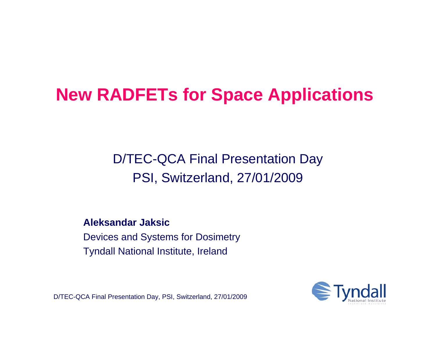## **New RADFETs for Space Applications**

#### D/TEC-QCA Final Presentation Day PSI, Switzerland, 27/01/2009

#### **Aleksandar Jaksic**

Devices and Systems for Dosimetry Tyndall National Institute, Ireland



D/TEC-QCA Final Presentation Day, PSI, Switzerland, 27/01/2009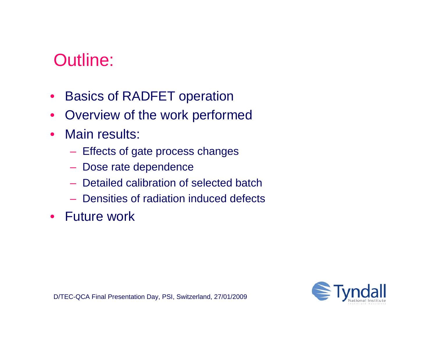## Outline:

- •Basics of RADFET operation
- $\bullet$ Overview of the work performed
- $\bullet$  Main results:
	- Effects of gate process changes
	- Dose rate dependence
	- –Detailed calibration of selected batch
	- Densities of radiation induced defects
- Future work

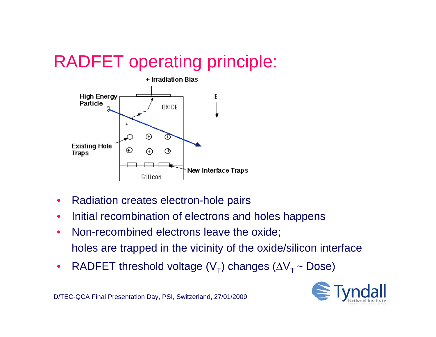## RADFET operating principle:



- •Radiation creates electron-hole pairs
- •Initial recombination of electrons and holes happens
- • Non-recombined electrons leave the oxide; holes are trapped in the vicinity of the oxide/silicon interface
- $\bullet$ RADFET threshold voltage ( $V_T$ ) changes ( $\Delta V_T \sim$  Dose)

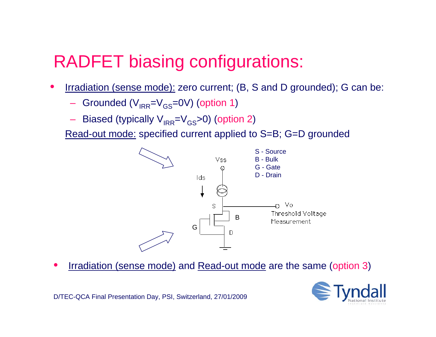## RADFET biasing configurations:

- • Irradiation (sense mode): zero current; (B, S and D grounded); G can be:
	- Grounded (V<sub>IRR</sub>=V<sub>GS</sub>=0V) (option 1)
	- Biased (typically V<sub>IRR</sub>=V<sub>GS</sub>>0) (option 2)

Read-out mode: specified current applied to S=B; G=D grounded



•Irradiation (sense mode) and Read-out mode are the same (option 3)

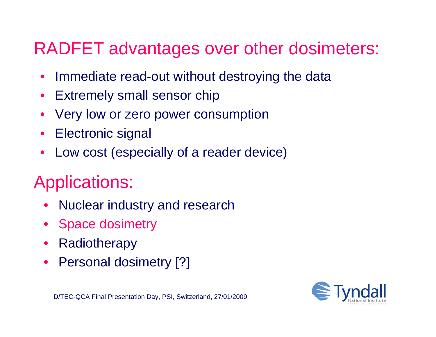## RADFET advantages over other dosimeters:

- $\bullet$ Immediate read-out without destroying the data
- $\bullet$ Extremely small sensor chip
- •Very low or zero power consumption
- $\bullet$ Electronic signal
- •Low cost (especially of a reader device)

## Applications:

- •Nuclear industry and research
- Space dosimetry
- •**Radiotherapy**
- Personal dosimetry [?]

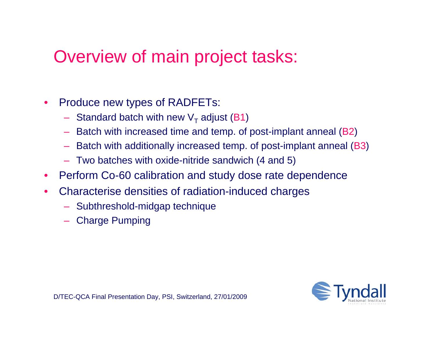## Overview of main project tasks:

- $\bullet$  Produce new types of RADFETs:
	- $-$  Standard batch with new  $\mathsf{V}_\mathsf{T}$  adjust (B1)
	- Batch with increased time and temp. of post-implant anneal (B2)
	- Batch with additionally increased temp. of post-implant anneal (B3)
	- Two batches with oxide-nitride sandwich (4 and 5)
- •Perform Co-60 calibration and study dose rate dependence
- • Characterise densities of radiation-induced charges
	- Subthreshold-midgap technique
	- Charge Pumping

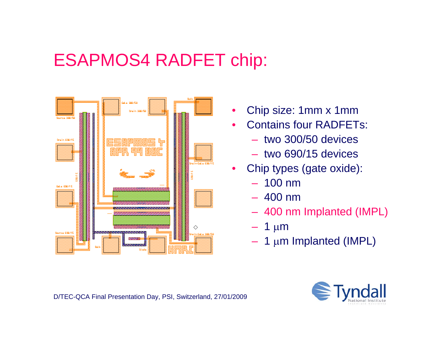#### ESAPMOS4 RADFET chip:



- •Chip size: 1mm x 1mm
- • Contains four RADFETs:
	- two 300/50 devices
	- two 690/15 devices
- • Chip types (gate oxide):
	- 100 nm
	- 400 nm
	- 400 nm Implanted (IMPL)
	- 1 µ<sup>m</sup>
	- –1 µm Implanted (IMPL)

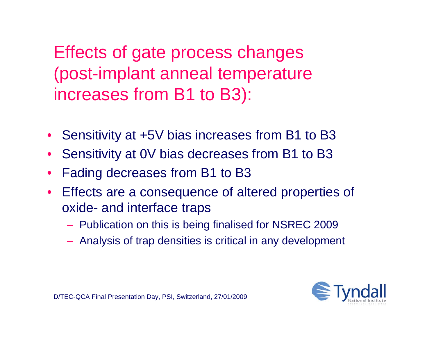Effects of gate process changes (post-implant anneal temperature increases from B1 to B3):

- •Sensitivity at +5V bias increases from B1 to B3
- •Sensitivity at 0V bias decreases from B1 to B3
- $\bullet$ Fading decreases from B1 to B3
- $\bullet$  Effects are a consequence of altered properties of oxide- and interface traps
	- Publication on this is being finalised for NSREC 2009
	- Analysis of trap densities is critical in any development

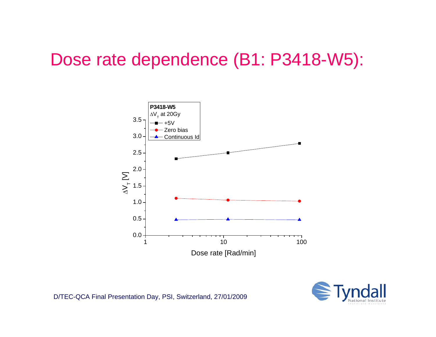#### Dose rate dependence (B1: P3418-W5):



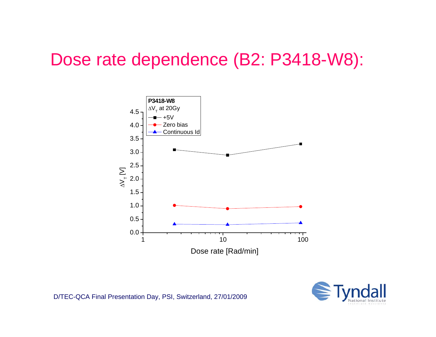#### Dose rate dependence (B2: P3418-W8):



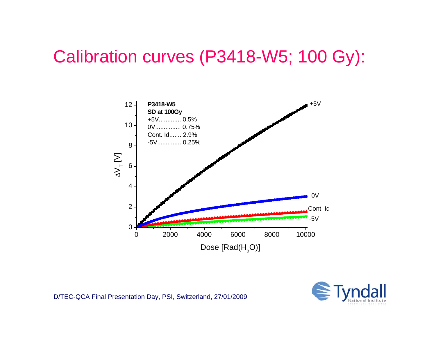## Calibration curves (P3418-W5; 100 Gy):



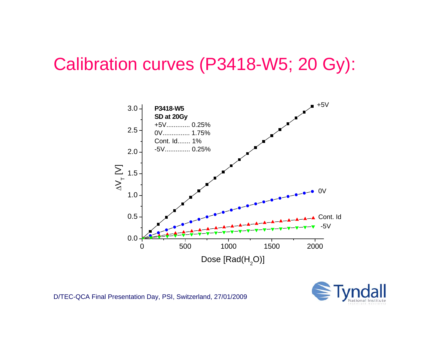#### Calibration curves (P3418-W5; 20 Gy):



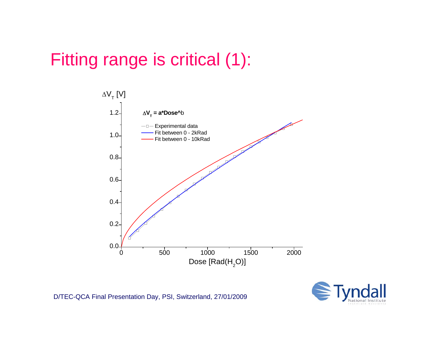## Fitting range is critical (1):



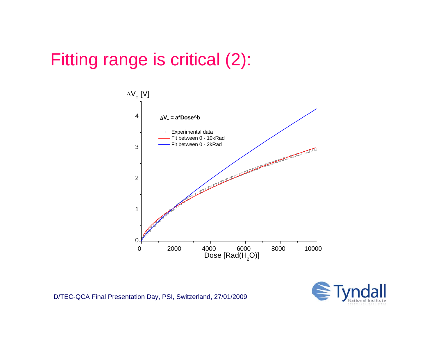## Fitting range is critical (2):



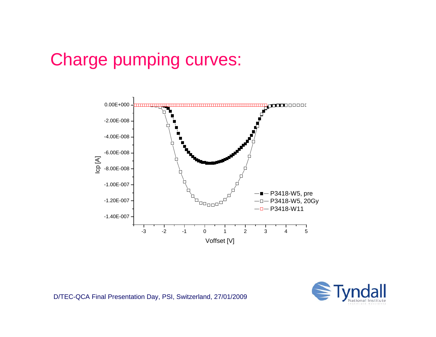# Charge pumping curves:



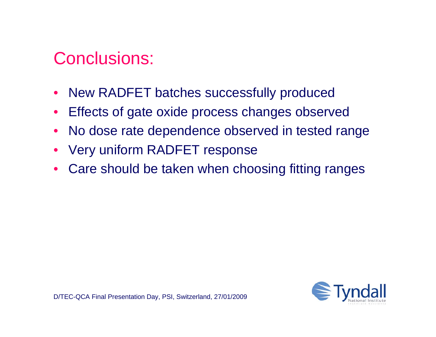#### Conclusions:

- $\bullet$ New RADFET batches successfully produced
- $\bullet$ Effects of gate oxide process changes observed
- $\bullet$ No dose rate dependence observed in tested range
- $\bullet$ Very uniform RADFET response
- •Care should be taken when choosing fitting ranges